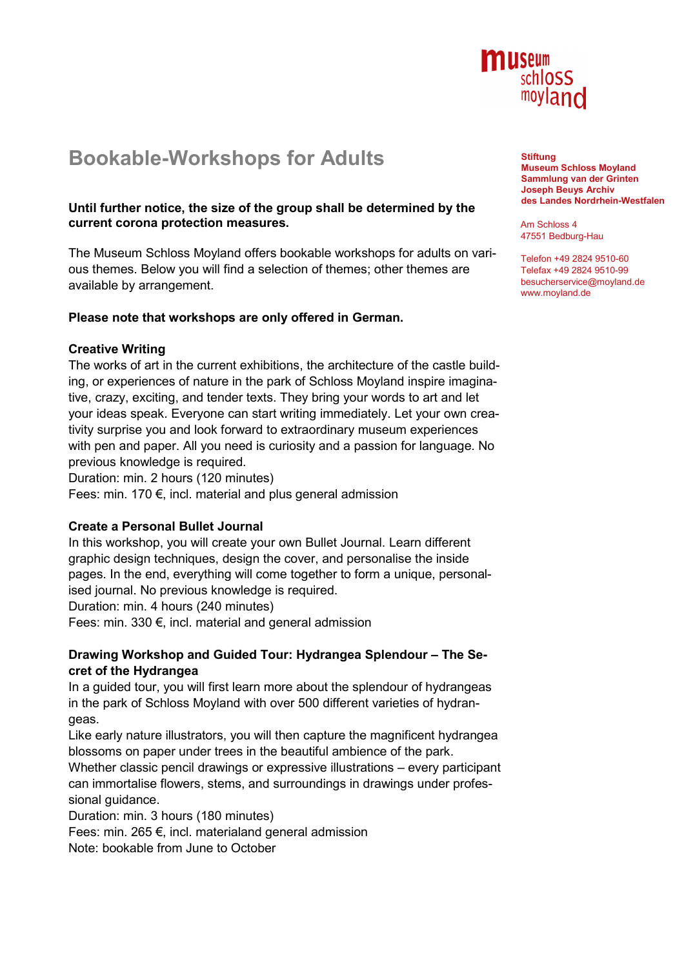

# **Bookable-Workshops for Adults**

### **Until further notice, the size of the group shall be determined by the current corona protection measures.**

The Museum Schloss Moyland offers bookable workshops for adults on various themes. Below you will find a selection of themes; other themes are available by arrangement.

# **Please note that workshops are only offered in German.**

# **Creative Writing**

The works of art in the current exhibitions, the architecture of the castle building, or experiences of nature in the park of Schloss Moyland inspire imaginative, crazy, exciting, and tender texts. They bring your words to art and let your ideas speak. Everyone can start writing immediately. Let your own creativity surprise you and look forward to extraordinary museum experiences with pen and paper. All you need is curiosity and a passion for language. No previous knowledge is required.

Duration: min. 2 hours (120 minutes)

Fees: min. 170 €, incl. material and plus general admission

#### **Create a Personal Bullet Journal**

In this workshop, you will create your own Bullet Journal. Learn different graphic design techniques, design the cover, and personalise the inside pages. In the end, everything will come together to form a unique, personalised journal. No previous knowledge is required.

Duration: min. 4 hours (240 minutes)

Fees: min. 330 €, incl. material and general admission

# **Drawing Workshop and Guided Tour: Hydrangea Splendour – The Secret of the Hydrangea**

In a guided tour, you will first learn more about the splendour of hydrangeas in the park of Schloss Moyland with over 500 different varieties of hydrangeas.

Like early nature illustrators, you will then capture the magnificent hydrangea blossoms on paper under trees in the beautiful ambience of the park.

Whether classic pencil drawings or expressive illustrations – every participant can immortalise flowers, stems, and surroundings in drawings under professional guidance.

Duration: min. 3 hours (180 minutes)

Fees: min. 265 €, incl. materialand general admission

Note: bookable from June to October

**Stiftung Museum Schloss Moyland Sammlung van der Grinten Joseph Beuys Archiv des Landes Nordrhein-Westfalen**

Am Schloss 4 47551 Bedburg-Hau

Telefon +49 2824 9510-60 Telefax +49 2824 9510-99 besucherservice@moyland.de www.moyland.de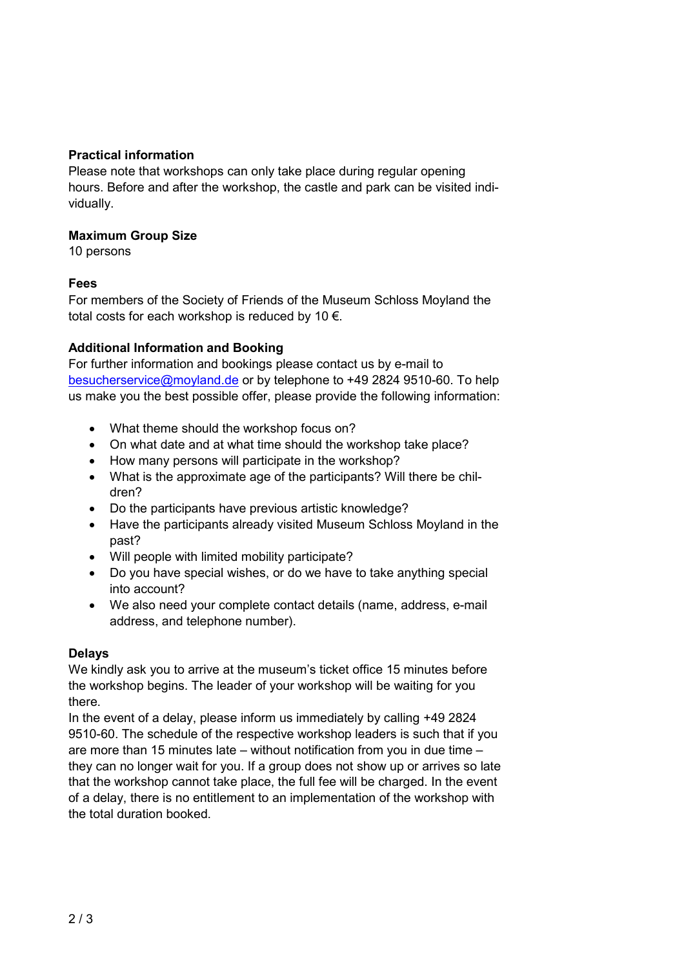# **Practical information**

Please note that workshops can only take place during regular opening hours. Before and after the workshop, the castle and park can be visited individually.

#### **Maximum Group Size**

10 persons

# **Fees**

For members of the Society of Friends of the Museum Schloss Moyland the total costs for each workshop is reduced by 10  $\epsilon$ .

# **Additional Information and Booking**

For further information and bookings please contact us by e-mail to besucherservice@moyland.de or by telephone to +49 2824 9510-60. To help us make you the best possible offer, please provide the following information:

- What theme should the workshop focus on?
- On what date and at what time should the workshop take place?
- How many persons will participate in the workshop?
- What is the approximate age of the participants? Will there be children?
- Do the participants have previous artistic knowledge?
- Have the participants already visited Museum Schloss Moyland in the past?
- Will people with limited mobility participate?
- Do you have special wishes, or do we have to take anything special into account?
- We also need your complete contact details (name, address, e-mail address, and telephone number).

# **Delays**

We kindly ask you to arrive at the museum's ticket office 15 minutes before the workshop begins. The leader of your workshop will be waiting for you there.

In the event of a delay, please inform us immediately by calling +49 2824 9510-60. The schedule of the respective workshop leaders is such that if you are more than 15 minutes late – without notification from you in due time – they can no longer wait for you. If a group does not show up or arrives so late that the workshop cannot take place, the full fee will be charged. In the event of a delay, there is no entitlement to an implementation of the workshop with the total duration booked.